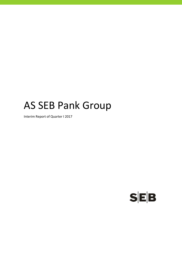# AS SEB Pank Group

Interim Report of Quarter I 2017

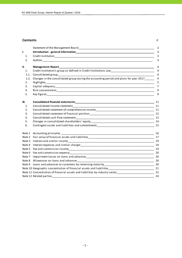#### **Contents** P.

| I<br>I<br>۰. |  |
|--------------|--|
|              |  |

|      | Statement of the Management Board Statement of the Management of the Management Board                                                                                                                                          | $\overline{2}$ |
|------|--------------------------------------------------------------------------------------------------------------------------------------------------------------------------------------------------------------------------------|----------------|
| I.   |                                                                                                                                                                                                                                | 3              |
| 1.   |                                                                                                                                                                                                                                | 3              |
| 2.   |                                                                                                                                                                                                                                | 3              |
| II.  | <b>Management Report_</b>                                                                                                                                                                                                      | 4              |
| 1.   | Credit institution's group as defined in Credit Institutions Law___________________________________                                                                                                                            | $\overline{4}$ |
| 1.1. |                                                                                                                                                                                                                                | $\overline{4}$ |
| 1.2. | Changes in the consolidated group during the accounting period and plans for year 2017______                                                                                                                                   | $\overline{4}$ |
| 2.   |                                                                                                                                                                                                                                | 5              |
| 3.   |                                                                                                                                                                                                                                | 7              |
| 4.   |                                                                                                                                                                                                                                | 9              |
| 5.   |                                                                                                                                                                                                                                | 9              |
| III. |                                                                                                                                                                                                                                | 11             |
| 1.   |                                                                                                                                                                                                                                |                |
| 2.   | Consolidated statement of comprehensive income entrance and consolidated statement of comprehensive income                                                                                                                     |                |
| 3.   |                                                                                                                                                                                                                                |                |
| 4.   |                                                                                                                                                                                                                                | 13             |
| 5.   |                                                                                                                                                                                                                                |                |
| 6.   | Contingent assets and liabilities and commitments and the state of the state of the state of the state of the state of the state of the state of the state of the state of the state of the state of the state of the state of |                |
|      |                                                                                                                                                                                                                                | 16             |
|      | Note 2 Fair value of financial assets and liabilities example and the set of the set of the set of the set of the set of the set of the set of the set of the set of the set of the set of the set of the set of the set of th |                |
|      |                                                                                                                                                                                                                                | 19             |
|      |                                                                                                                                                                                                                                | 19             |
|      |                                                                                                                                                                                                                                |                |
|      |                                                                                                                                                                                                                                |                |
|      |                                                                                                                                                                                                                                | 20             |
|      |                                                                                                                                                                                                                                | 20             |
|      |                                                                                                                                                                                                                                |                |
|      |                                                                                                                                                                                                                                |                |
|      | Note 11 Concentration of financial assets and liabilities by industry sector_________________________________22                                                                                                                |                |
|      | Note 12 Related parties                                                                                                                                                                                                        | 24             |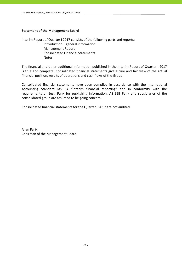## **Statement of the Management Board**

Interim Report of Quarter I 2017 consists of the following parts and reports: Introduction – general information Management Report Consolidated Financial Statements

Notes

The financial and other additional information published in the Interim Report of Quarter I 2017 is true and complete. Consolidated financial statements give a true and fair view of the actual financial position, results of operations and cash flows of the Group.

Consolidated financial statements have been compiled in accordance with the International Accounting Standard IAS 34 "Interim financial reporting" and in conformity with the requirements of Eesti Pank for publishing information. AS SEB Pank and subsidiaries of the consolidated group are assumed to be going concern.

Consolidated financial statements for the Quarter I 2017 are not audited.

Allan Parik Chairman of the Management Board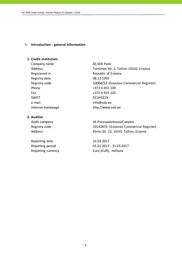#### **I. Introduction ‐ general information**

# **1. Credit institution**

Company name AS SEB Pank Registered in Republic of Estonia Registry date 08.12.1995 Phone  $+3726655100$ Fax +372 6 655 102 SWIFT EEUHEE2X e-mail info@seb.ee Internet homepage http://www.seb.ee

#### **2. Auditor**

Reporting date 31.03.2017

Address Tornimäe Str. 2, Tallinn 15010, Estonia Registry code 10004252 (Estonian Commercial Register)

Audit company and all the AS PricewaterhouseCoopers Registry code 10142876 (Estonian Commercial Register) Address Pärnu Str. 15, 10141 Tallinn, Estonia

Reporting period 01.01.2017 ‐ 31.03.2017 Reporting currency Euro (EUR), millions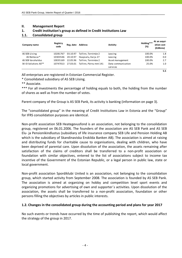## **II. Management Report**

## **1. Credit institution's group as defined in Credit Institutions Law**

## **1.1. Consolidated group**

| Company name         | Registry<br>code | Reg. date | <b>Address</b>         | Activity           | Holding***<br>(%) | At an acqui-<br>sition cost<br>(EURmio) |
|----------------------|------------------|-----------|------------------------|--------------------|-------------------|-----------------------------------------|
| AS SEB Liising       | 10281767         | 03.10.97  | Tallinn, Tornimäe 2    | Leasing            | 100.0%            | 1.8                                     |
| AS Rentacar*         | 10303546         | 20.10.97  | Haapsalu, Karja 27     | Leasing            | 100.0%            | 0.0                                     |
| AS SEB Varahaldus    | 10035169         | 22.05.96  | Tallinn, Tornimäe 2    | Asset management   | 100.0%            | 2.7                                     |
| SK ID Solutions AS** | 10747013         | 27.03.01  | Tallinn, Pärnu mnt 141 | Data communication | 25.0%             | 1.0                                     |
|                      |                  |           |                        | services           |                   |                                         |
|                      |                  |           |                        |                    |                   | 55.                                     |

All enterprises are registered in Estonian Commercial Register.

\* Consolidated subsidiary of AS SEB Liising.

\*\* Associate.

\*\*\* For all investments the percentage of holding equals to both, the holding from the number of shares as well as from the number of votes.

Parent company of the Group is AS SEB Pank, its activity is banking (information on page 3).

The "consolidated group" in the meaning of Credit Institutions Law in Estonia and the "Group" for IFRS consolidation purposes are identical.

Non‐profit association SEB Heategevusfond is an association, not belonging to the consolidation group, registered on 06.01.2006. The founders of the association are AS SEB Pank and AS SEB Elu‐ ja Pensionikindlustus (subsidiary of life insurance company SEB Life and Pension Holding AB which is the subsidiary of Skandinaviska Enskilda Banken AB). The association is aimed at raising and distributing funds for charitable cause to organisations, dealing with children, who have been deprived of parental care. Upon dissolution of the association, the assets remaining after satisfaction of the claims of creditors shall be transferred to a non‐profit association or foundation with similar objectives, entered to the list of associations subject to income tax incentive of the Government of the Estonian Republic, or a legal person in public law, state or local government.

Non‐profit association Spordiklubi United is an association, not belonging to the consolidation group, which started activity from September 2008. The association is founded by AS SEB Pank. The association is aimed at organizing on hobby and competition level sport events and organizing promotions for advertising of own and supporter´s activities. Upon dissolution of the association, the assets shall be transferred to a non‐profit association, foundation or other persons filling the objectives by articles in public interests.

# **1.2. Changes in the consolidated group during the accounting period and plans for year 2017**

No such events or trends have occurred by the time of publishing the report, which would affect the strategy of the group in 2017.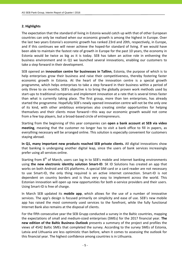# **2. Highlights**

The expectation that the standard of living in Estonia would catch up with that of other European countries can only be realised when our economic growth is among the highest in Europe. Over the last two years Estonia's economic growth has ranked 23rd and 20th, respectively, in Europe, and if this continues we will never achieve the hoped-for standard of living. If we would have been able to maintain the fastest rate of growth in Europe for the past 10 years, the economy in Estonia would be twice as big as it is today. SEB has taken an active role in enlivening the business environment and in Q1 we launched several innovations, enabling our customers to take a step forward in their development.

SEB opened an **innovation centre for businesses in Tallinn**, Estonia, the purpose of which is to help enterprises grow their business and raise their competitiveness, thereby fostering faster economic growth in Estonia. At the heart of the innovation centre is a special growth programme, which helps enterprises to take a step forward in their business within a period of only three to six months. SEB's objective is to bring the globally proven work methods used by start‐ups to traditional companies and implement innovation at a rate that is several times faster than what is currently taking place. The first group, more than ten enterprises, has already started the programme. Hopefully SEB's newly opened innovation centre will not be the only one of its kind, with other ambitious enterprises also creating similar opportunities for helping themselves and their clients move forward—this way our economic growth would not come from a few top players, but a broad‐based circle of entrepreneurs.

Starting from the beginning of this year companies can **open a bank account at SEB via video meeting**, meaning that the customer no longer has to visit a bank office to fill in papers, as everything necessary will be arranged online. This solution is especially convenient for customers staying abroad.

**In Q1, many important new products reached SEB private clients.** All digital innovations show that banking is undergoing another digital leap, since the users of bank services increasingly prefer using all services online.

Starting from  $8<sup>th</sup>$  of March, users can log in to SEB's mobile and internet banking environments using **the new electronic identity solution Smart‐ID**. SK ID Solutions has created an app that works on both Android and iOS platforms. A special SIM card or a card reader are not necessary to use Smart‐ID, the only thing required is an active internet connection. Smart‐ID is not dependent on country borders and is thus very easy to implement across the world. This Estonian innovation will open up new opportunities for both e‐service providers and their users. Using Smart‐ID is free of charge.

In March SEB updated its **mobile app**, which allows for the use of a number of innovative services. The app's design is focused primarily on simplicity and ease of use. SEB's new mobile app has raised the most commonly used services to the forefront, while the fully functional Internet Bank also remains at the disposal of clients.

For the fifth consecutive year the SEB Grupp conducted a survey in the Baltic countries, mapping the expectations of small and medium‐sized enterprises (SMEs) for the 2017 financial year. **The new edition of the Baltic Business Outlook** presents a summary of the project and profiles the views of 4542 Baltic SMEs that completed the survey. According to the survey SMEs of Estonia, Latvia and Lithuania are less optimistic than before, when it comes to assessing the outlook for this financial year. The highest confidence among countries is in Lithuania.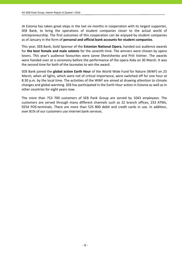JA Estonia has taken great steps in the last six months in cooperation with its largest supporter, SEB Bank, to bring the operations of student companies closer to the actual world of entrepreneurship. The first outcomes of this cooperation can be enjoyed by student companies as of January in the form of **personal and official bank accounts for student companies**.

This year, SEB Bank, Gold Sponsor of the **Estonian National Opera**, handed out audience awards for **the best female and male soloists** for the seventh time. The winners were chosen by opera lovers. This year's audience favourites were Janne Shevtshenko and Priit Volmer. The awards were handed over at a ceremony before the performance of the opera Aida on 30 March. It was the second time for both of the laureates to win the award.

SEB Bank joined the **global action Earth Hour** of the World Wide Fund for Nature (WWF) on 25 March, when all lights, which were not of critical importance, were switched off for one hour at 8:30 p.m. by the local time. The activities of the WWF are aimed at drawing attention to climate changes and global warming. SEB has participated in the Earth Hour action in Estonia as well as in other countries for eight years now.

The more than 753 700 customers of SEB Pank Group are served by 1043 employees. The customers are served through many different channels such as 22 branch offices, 233 ATMs, 9254 POS-terminals. There are more than 525 800 debit and credit cards in use. In addition, over 81% of our customers use internet bank services.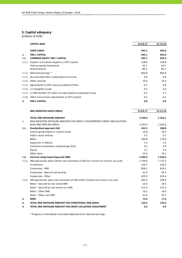# **3. Capital adequacy**

(millions of EUR)

|        | <b>CAPITAL BASE</b>                                                    | 31.03.17 | 31.12.16 |
|--------|------------------------------------------------------------------------|----------|----------|
|        | <b>OWN FUNDS</b>                                                       | 945.1    | 945.0    |
| 1.     | <b>TIER 1 CAPITAL</b>                                                  | 945.1    | 945.0    |
| 1.1.   | <b>COMMON EQUITY TIER 1 CAPITAL</b>                                    | 945.1    | 945.0    |
| 1.1.1. | Capital instruments eligible as CET1 Capital                           | 128.8    | 128.8    |
|        | Paid up capital instruments                                            | 42.5     | 42.5     |
|        | Share premium                                                          | 86.3     | 86.3     |
| 1.1.2. | Retained earnings *                                                    | 806.8    | 806.8    |
|        | 1.1.3. Accumulated other comprehensive income                          | 0.9      | 0.9      |
|        | 1.1.4. Other reserves                                                  | 19.4     | 19.4     |
|        | 1.1.5. Adjustments to CET1 due to prudential filters                   | $-0.1$   | 0.0      |
|        | 1.1.6. (-) Intangible assets                                           | $-4.5$   | $-3.0$   |
|        | 1.1.7. (-) IRB shortfall of credit risk adjustments to expected losses | $-6.1$   | $-7.7$   |
|        | 1.1.8. Other transitional adjustments to CET1 Capital                  | $-0.1$   | $-0.2$   |
| 2.     | <b>TIER 2 CAPITAL</b>                                                  | 0.0      | 0.0      |

|        | RISK WEIGHTED ASSETS (RWA)                                                         | 31.03.17    | 31.12.16    |
|--------|------------------------------------------------------------------------------------|-------------|-------------|
|        | <b>TOTAL RISK EXPOSURE AMOUNT</b>                                                  | 2 4 2 8 . 4 | 2 4 2 6 .1  |
| 1.     | RISK WEIGHTED EXPOSURE AMOUNTS FOR CREDIT, COUNTERPARTY CREDIT AND DILUTION        |             |             |
|        | RISKS AND FREE DELIVERIES                                                          | 2 2 8 3 . 4 | 2 2 8 5 .0  |
| 1.1.   | Standardised approach (SA)                                                         | 242.5       | 248.8       |
|        | Central governments or central banks                                               | 16.8        | 20.3        |
|        | Public sector entities                                                             | 0.7         | 0.7         |
|        | Retail                                                                             | 180.8       | 176.9       |
|        | Exposures in default                                                               | 1.3         | 1.5         |
|        | Collective investments undertakings (CIU)                                          | 4.2         | 6.9         |
|        | Equity                                                                             | 3.7         | 3.4         |
|        | Other items                                                                        | 35.0        | 39.1        |
| 1.2.   | Internal ratings based Approach (IRB)                                              | 2 040.9     | 2036.2      |
| 1.2.1. | IRB approaches when neither own estimates of LGD nor Conversion Factors are used   | 1738.6      | 1 7 3 7 . 3 |
|        | Institutions                                                                       | 228.7       | 218.2       |
|        | Corporates - SME                                                                   | 838.1       | 818.4       |
|        | Corporates - Specialised Lending                                                   | 41.9        | 45.3        |
|        | Corporates - Other                                                                 | 629.9       | 655.4       |
|        | 1.2.2. IRB approaches when own estimates of LGD and/or Conversion Factors are used | 302.3       | 298.9       |
|        | Retail - Secured by real estate SME                                                | 10.4        | 10.4        |
|        | Retail - Secured by real estate non-SME                                            | 213.4       | 212.4       |
|        | Retail - Other SME                                                                 | 16.1        | 16.4        |
|        | Retail - Other non-SME                                                             | 62.4        | 59.7        |
| 2.     | <b>RISKS</b>                                                                       | 15.6        | 17.4        |
| 3.     | TOTAL RISK EXPOSURE AMOUNT FOR OPERATIONAL RISK (AMA)                              | 129.2       | 123.3       |
| 4.     | TOTAL RISK EXPOSURE AMOUNT FOR CREDIT VALUATION ADJUSTMENT                         | 0.2         | 0.4         |

\* Prognosis of dividends have been deducted from retained earnings.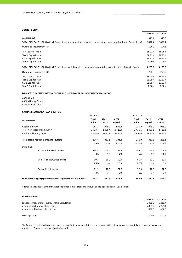#### **CAPITAL RATIOS**

|                                                                                                                    | 31.03.17    | 31.12.16    |
|--------------------------------------------------------------------------------------------------------------------|-------------|-------------|
| <b>OWN FUNDS</b>                                                                                                   | 945.1       | 945.0       |
| TOTAL RISK EXPOSURE AMOUNT Basel III (without additional risk exposure amount due to application of Basel I floor) | 2 4 2 8 . 4 | 2426.1      |
| Own fund requirement (8%)                                                                                          | 194.3       | 194.1       |
| Total capital ratio                                                                                                | 38.92%      | 38.95%      |
| Tier 1 Capital ratio                                                                                               | 38.92%      | 38.95%      |
| CET1 Capital ratio                                                                                                 | 38.92%      | 38.95%      |
| Tier 2 Capital ratio                                                                                               | 0.00%       | 0.00%       |
| TOTAL RISK EXPOSURE AMOUNT Basel III (with additional risk exposure amount due to application of Basel I floor)    | 3 2 5 3 .6  | 3 1 8 9 . 8 |
| Own fund requirement (8%)                                                                                          | 260.3       | 255.2       |
| Total capital ratio                                                                                                | 29.05%      | 29.63%      |
| Tier 1 Capital ratio                                                                                               | 29.05%      | 29.63%      |
| CET1 Capital ratio                                                                                                 | 29.05%      | 29.63%      |
| Tier 2 Capital ratio                                                                                               | 0.00%       | $0.00\%$    |
|                                                                                                                    |             |             |

#### **MEMBERS OF CONSOLIDATION GROUP, INCLUDED TO CAPITAL ADEQUACY CALCULATION**

AS SEB Pank AS SEB Liising Group AS SEB Varahaldus

#### **CAPITAL REQUIREMENTS AND BUFFERS**

|                                                                   | 31.03.17         |                   |                 | 31.12.16         |                   |                 |
|-------------------------------------------------------------------|------------------|-------------------|-----------------|------------------|-------------------|-----------------|
| <b>OWN FUNDS</b>                                                  | Total<br>capital | Tier 1<br>capital | CET1<br>capital | Total<br>capital | Tier 1<br>capital | CET1<br>capital |
| Capital amount                                                    | 945.1            | 945.1             | 945.1           | 945.0            | 945.0             | 945.0           |
| Total risk exposure amount *                                      | 2 4 2 8 .4       | 2 4 2 8 . 4       | 2 4 2 8 . 4     | 2 4 2 6 . 1      | 2 4 2 6 . 1       | 2 4 2 6 . 1     |
| Capital adequacy ratio                                            | 38.92%           | 38.92%            | 38.92%          | 38.95%           | 38.95%            | 38.95%          |
| Total capital requirements, incl. buffers                         | 376.4            | 327.8             | 291.4           | 376.0            | 327.5             | 291.1           |
|                                                                   | 15.5%            | 13.5%             | 12.0%           | 15.5%            | 13.5%             | 12.0%           |
| including:                                                        |                  |                   |                 |                  |                   |                 |
| Base capital requirement                                          | 194.3            | 145.7             | 109.3           | 194.1            | 145.6             | 109.2           |
|                                                                   | 8%               | 6%                | 4.5%            | 8%               | 6%                | 4.5%            |
| Capital conservation buffer                                       | 60.7             | 60.7              | 60.7            | 60.7             | 60.7              | 60.7            |
|                                                                   | 2.5%             | 2.5%              | 2.5%            | 2.5%             | 2.5%              | 2.5%            |
| Systemic risk buffer                                              | 72.9             | 72.9              | 72.9            | 72.8             | 72.8              | 72.8            |
|                                                                   | 3%               | 3%                | 3%              | 3%               | 3%                | 3%              |
| Own funds Surplus(+) of total capital requirements, incl. buffers | 568.7            | 617.3             | 653.7           | 569.0            | 617.5             | 653.9           |

\* Total risk exposure amount without additional risk exposure amount due to application of Basel I floor

#### **LEVERAGE RATIO**

|                                                 | 31.03.17   | 31.12.16   |
|-------------------------------------------------|------------|------------|
| Exposure measure for leverage ratio calculation | 6 3 2 6 .0 | 6 2 3 6 .4 |
| of which on balance sheet items                 | 5 869.0    | 5 764.1    |
| of which off balance sheet items                | 457.0      | 472.3      |
|                                                 |            |            |
| Leverage ratio*                                 | 14.9%      | 15.2%      |

\*In Annual report of reference period Leverage Ratio was calculated as the simple arithmetic mean of the monthly leverage ratios over a quarter. In Current report as of end of period.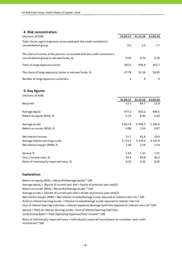# **4. Risk concentration**

| (millions of EUR)                                                                                                       | 31.03.17 | 31.12.16 | 31.03.16 |
|-------------------------------------------------------------------------------------------------------------------------|----------|----------|----------|
| Total claims against persons associated with the credit institution's<br>consolidation group                            | 0.5      | 2.2      | 1.7      |
| The share of claims of the persons associated with the credit institution's<br>consolidation group in net own funds, %, | 0.05     | 0.23     | 0.19     |
| Total of large exposure claims                                                                                          | 262.6    | 294.4    | 262.7    |
| The share of large exposure claims in net own funds, %                                                                  | 27.78    | 31.16    | 28.95    |
| Number of large exposure customers                                                                                      | 4        | 4        | 4        |

#### **5. Key figures**

| (millions of EUR)                       |             |             |             |
|-----------------------------------------|-------------|-------------|-------------|
|                                         | 31.03.17    | 31.12.16    | 31.03.16    |
| Net profit                              | 12.5        | 84.7        | 12.8        |
| Average equity                          | 977.2       | 959.2       | 930.5       |
| Return on equity (ROE), %               | 5.12        | 8.83        | 5.50        |
| Average assets                          | 5 8 2 7 . 8 | 5 5 0 4 .7  | 5 2 9 4 . 6 |
| Return on assets (ROA), %               | 0.86        | 1.54        | 0.97        |
| Net interest income                     | 21.1        | 82.9        | 19.9        |
| Average interest earning assets         | 5 7 1 1.5   | 5 3 7 6 . 6 | 5 1 5 5 . 9 |
| Net interest margin (NIM), %            | 1.48        | 1.54        | 1.54        |
| Spread, %                               | 1.45        | 1.51        | 1.51        |
| Cost / Income ratio, %                  | 43.4        | 40.8        | 46.3        |
| Ratio of individually impaired loans, % | 0.32        | 0.33        | 0.35        |

#### **Explanations**

Return on equity (ROE) = Net profit/Average equity \* 100 Average equity = (Equity of current year end + Equity of previous year end)/2 Return on assets (ROA) = Net profit/Average assets \* 100 Average assets = (Assets of current year end + Assets of previous year end)/2 Cost of interest bearing liabilities = Interest expenses/Average liabilities exposed to interest rate risk \*100 Cost/Income Ratio = Total Operating Expenses/Total Income \* 100 Net interest margin (NIM) = Net interest income/Average assets exposed to interest rate risk \* 100 Yield on interest earning assets = Interest income/Average assets exposed to interest rate risk Spread = Yield on interest earning assets ‐ Cost of interest bearing liabilities

Ratio of individually impaired loans = Individually impaired loans/Loans to customers and credit institutions\* 100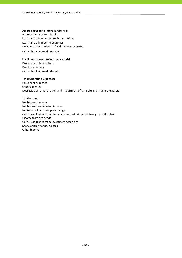#### **Assets exposed to interest rate risk:**

Balances with central bank Loans and advances to credit institutions Loans and advances to customers Debt securities and other fixed income securities (all without accrued interests)

#### **Liabilities exposed to interest rate risk:**

Due to credit institutions Due to customers (all without accrued interests)

#### **Total Operating Expenses:**

Personnel expenses Other expenses Depreciation, amortisation and impairment of tangible and intangible assets

#### **Total Income:**

Net interest income Net fee and commission income Net income from foreign exchange Gains less losses from financial assets at fair value through profit or loss Income from dividends Gains less losses from investment securities Share of profit of associates Other income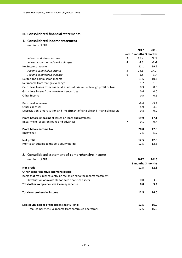#### **III. Consolidated financial statements**

## **1. Consolidated income statement**

(millions of EUR)

|                                                                              |   | 2017                   | 2016              |
|------------------------------------------------------------------------------|---|------------------------|-------------------|
|                                                                              |   | Note 3 months 3 months |                   |
| Interest and similar income                                                  | 3 | 23.4                   | 22.5              |
| Interest expenses and similar charges                                        | 4 | $-2.3$                 | $-2.6$            |
| Net Interest Income                                                          |   | 21.1                   | 19.9              |
| Fee and commission income                                                    | 5 | 15.3                   | 14.1              |
| Fee and commission expense                                                   | 6 | $-3.8$                 | $-3.7$            |
| Net fee and commission income                                                |   | 11.5                   | 10.4              |
| Net income from foreign exchange                                             |   | 1.2                    | $1.0\,$           |
| Gains less losses from financial assets at fair value through profit or loss |   | 0.3                    | 0.3               |
| Gains less losses from investment securities                                 |   | 0.6                    | 0.0               |
| Other income                                                                 |   | 0.5                    | 0.2               |
| Personnel expenses                                                           |   | $-9.6$                 | $-9.9$            |
| Other expenses                                                               |   | $-4.9$                 | $-4.0$            |
| Depreciation, amortisation and impairment of tangible and intangible assets  |   | $-0.8$                 | $-0.9$            |
| Profit before impairment losses on loans and advances                        |   | 19.9                   | 17.1              |
| Impairment losses on loans and advances                                      | 7 | 0.1                    | 0.7               |
| Profit before income tax                                                     |   | 20.0                   | 17.8              |
| Income tax                                                                   |   | $-7.5$                 | $-5.0$            |
| Net profit                                                                   |   | 12.5                   | 12.8              |
| Profit attributable to the sole equity holder                                |   | 12.5                   | 12.8              |
| 2. Consolidated statement of comprehensive income                            |   |                        |                   |
| (millions of EUR)                                                            |   | 2017                   | 2016              |
|                                                                              |   |                        | 3 months 3 months |
| Net profit                                                                   |   | 12.5                   | 12.8              |
| Other comprehensive income/expense                                           |   |                        |                   |
| Items that may subsequently be reclassified to the income statement:         |   |                        |                   |
| Revaluation of available-for-sale financial assets                           |   | 0.0                    | 3.2               |
| Total other comprehensive income/expense                                     |   | 0.0                    | 3.2               |
|                                                                              |   |                        |                   |
| <b>Total comprehensive income</b>                                            |   | 12.5                   | 16.0              |
|                                                                              |   |                        |                   |
| Sole equity holder of the parent entity (total)                              |   | 12.5                   | 16.0              |

-Total comprehensive income from continued operations 12.5 16.0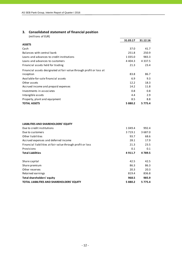# **3. Consolidated statement of financial position**

(millions of EUR)

|                                                                     | 31.03.17   | 31.12.16   |
|---------------------------------------------------------------------|------------|------------|
| <b>ASSETS</b>                                                       |            |            |
| Cash                                                                | 37.0       | 41.7       |
| Balances with central bank                                          | 251.8      | 250.9      |
| Loans and advances to credit institutions                           | 1 0 3 5 .0 | 983.3      |
| Loans and advances to customers                                     | 4 4 0 4 .3 | 4 3 3 7 .5 |
| Financial assets held for trading                                   | 21.3       | 23.4       |
| Financial assets designated at fair value through profit or loss at |            |            |
| inception                                                           | 83.8       | 86.7       |
| Available-for-sale financial assets                                 | 6.9        | 9.3        |
| Other assets                                                        | 12.2       | 18.3       |
| Accrued income and prepaid expenses                                 | 14.2       | 11.8       |
| Investments in associates                                           | 0.8        | 0.8        |
| Intangible assets                                                   | 4.4        | 2.9        |
| Property, plant and equipment                                       | 8.5        | 8.8        |
| <b>TOTAL ASSETS</b>                                                 | 5880.2     | 5 7 7 5 .4 |

#### **LIABILITIES AND SHAREHOLDERS' EQUITY**

| Due to credit institutions                                 | 1 0 4 9 . 4 | 992.4      |
|------------------------------------------------------------|-------------|------------|
| Due to customers                                           | 3 7 1 9 . 1 | 3 6 8 7 .0 |
| Other liabilities                                          | 93.7        | 68.6       |
| Accrued expenses and deferred income                       | 28.1        | 17.9       |
| Financial liabilities at fair value through profit or loss | 21.3        | 23.5       |
| Provisions                                                 | 0.1         | 0.1        |
| <b>Total Liabilities</b>                                   | 4911.7      | 4789.5     |
| Share capital                                              | 42.5        | 42.5       |
| Share premium                                              | 86.3        | 86.3       |
| Other reserves                                             | 20.3        | 20.3       |
| Retained earnings                                          | 819.4       | 836.8      |
| Total shareholders' equity                                 | 968.5       | 985.9      |
| <b>TOTAL LIABILITIES AND SHAREHOLDERS' EQUITY</b>          | 5880.2      | 5 7 7 5 .4 |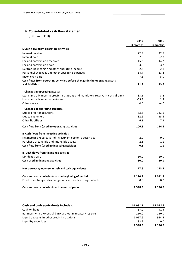# **4. Consolidated cash flow statement**

(millions of EUR)

|                                                                                 | 2017       | 2016       |
|---------------------------------------------------------------------------------|------------|------------|
|                                                                                 | 3 months   | 3 months   |
| I. Cash flows from operating activities                                         |            |            |
| Interest received                                                               | 22.9       | 22.5       |
| Interest paid                                                                   | $-2.8$     | $-2.7$     |
| Fee and commission received                                                     | 15.3       | 14.2       |
| Fee and commission paid                                                         | $-3.8$     | $-3.7$     |
| Net trading income and other operating income                                   | 2.2        | 2.1        |
| Personnel expenses and other operating expenses                                 | $-14.4$    | $-13.8$    |
| Income tax paid                                                                 | $-7.5$     | $-5.0$     |
| Cash flows from operating activities before changes in the operating assets     |            |            |
| and liabilities                                                                 | 11.9       | 13.6       |
| Changes in operating assets:                                                    |            |            |
| Loans and advances to credit institutions and mandatory reserve in central bank | 33.5       | $-3.2$     |
| Loans and advances to customers                                                 | $-65.8$    | 2.8        |
| Other assets                                                                    | 4.5        | $-4.0$     |
| <b>Changes of operating liabilities:</b>                                        |            |            |
| Due to credit institutions                                                      | 83.8       | 133.1      |
| Due to customers                                                                | 32.6       | $-15.6$    |
| Other liabilities                                                               | 6.3        | 7.9        |
| Cash flow from (used in) operating activities                                   | 106.8      | 134.6      |
| II. Cash flows from investing activities                                        |            |            |
| Net increase-/decrease+ of investment portfolio securities                      | 2.9        | 0.0        |
| Purchase of tangible and intangible assets                                      | $-2.1$     | $-1.1$     |
| Cash flow from (used in) investing activities                                   | 0.8        | $-1.1$     |
| III. Cash flows from financing activities                                       |            |            |
| Dividends paid                                                                  | $-30.0$    | $-20.0$    |
| Cash used in financing activities                                               | $-30.0$    | $-20.0$    |
| Net decrease/increase in cash and cash equivalents                              | 77.6       | 113.5      |
| Cash and cash equivalents at the beginning of period                            | 1 270.9    | 1012.5     |
| Effect of exchange rate changes on cash and cash equivalents                    | 0.0        | 0.0        |
| Cash and cash equivalents at the end of period                                  | 1 3 4 8 .5 | 1 1 2 6 .0 |

| <b>Cash and cash equivalents includes:</b>               | 31.03.17   | 31.03.16   |
|----------------------------------------------------------|------------|------------|
| Cash on hand                                             | 37.0       | 41.5       |
| Balances with the central bank without mandatory reserve | 210.0      | 150.0      |
| Liquid deposits in other credit institutions             | 1 0 1 7 .6 | 934.5      |
| Liquidity securities                                     | 83.9       | 0.0        |
|                                                          | 1 3 4 8 .5 | 1 1 2 6 .0 |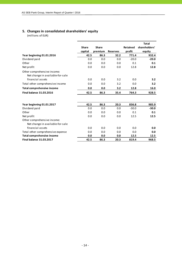# **5. Changes in consolidated shareholders' equity**

(millions of EUR)

|                                   |              |              |                 |                 | <b>Total</b>  |
|-----------------------------------|--------------|--------------|-----------------|-----------------|---------------|
|                                   | <b>Share</b> | <b>Share</b> |                 | <b>Retained</b> | shareholders' |
|                                   | capital      | premium      | <b>Reserves</b> | profit          | equity        |
| Year beginning 01.01.2016         | 42.5         | 86.3         | 32.2            | 771.4           | 932.4         |
| Dividend paid                     | 0.0          | 0.0          | 0.0             | $-20.0$         | $-20.0$       |
| Other                             | 0.0          | 0.0          | 0.0             | 0.1             | 0.1           |
| Net profit                        | 0.0          | 0.0          | 0.0             | 12.8            | 12.8          |
| Other comprehensive income:       |              |              |                 |                 |               |
| Net change in available-for-sale  |              |              |                 |                 |               |
| financial assets                  | 0.0          | 0.0          | 3.2             | 0.0             | 3.2           |
| Total other comprehensive income  | 0.0          | 0.0          | 3.2             | 0.0             | 3.2           |
| <b>Total comprehensive income</b> | 0.0          | 0.0          | 3.2             | 12.8            | 16.0          |
| <b>Final balance 31.03.2016</b>   | 42.5         | 86.3         | 35.4            | 764.3           | 928.5         |
| Year beginning 01.01.2017         | 42.5         | 86.3         | 20.3            | 836.8           | 985.9         |
| Dividend paid                     | 0.0          | 0.0          | 0.0             | $-30.0$         | $-30.0$       |
| Other                             | 0.0          | 0.0          | 0.0             | 0.1             | 0.1           |
| Net profit                        | 0.0          | 0.0          | 0.0             | 12.5            | 12.5          |
| Other comprehensive income:       |              |              |                 |                 |               |
| Net change in available-for-sale  |              |              |                 |                 |               |
| financial assets                  | 0.0          | 0.0          | 0.0             | 0.0             | 0.0           |
| Total other comprehensive expense | 0.0          | 0.0          | 0.0             | 0.0             | 0.0           |
| <b>Total comprehensive income</b> | 0.0          | 0.0          | 0.0             | 12.5            | 12.5          |
| <b>Final balance 31.03.2017</b>   | 42.5         | 86.3         | 20.3            | 819.4           | 968.5         |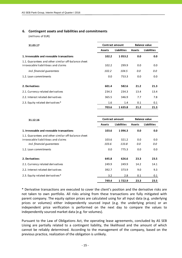#### **6. Contingent assets and liabilities and commitments**

(millions of EUR)

| 31.03.17                                                                                   | <b>Balance value</b><br><b>Contract amount</b> |                    |               |                    |
|--------------------------------------------------------------------------------------------|------------------------------------------------|--------------------|---------------|--------------------|
|                                                                                            | <b>Assets</b>                                  | <b>Liabilities</b> | <b>Assets</b> | <b>Liabilities</b> |
| 1. Irrevocable and revocable transactions                                                  | 102.2                                          | 1053.2             | 0.0           | 0.0                |
| 1.1. Guarantees and other similar off-balance sheet<br>irrovocable liabilitieas and claims | 102.2                                          | 299.9              | 0.0           | 0.0                |
| incl. financial quarantees                                                                 | 102.2                                          | 104.5              | 0.0           | 0.0                |
| 1.2. Loan commitments                                                                      | 0.0                                            | 753.3              | 0.0           | 0.0                |
| 2. Derivatives                                                                             | 601.4                                          | 582.6              | 21.2          | 21.3               |
| 2.1. Currency related derivatives                                                          | 234.3                                          | 234.3              | 13.4          | 13.4               |
| 2.2. Interest related derivatives                                                          | 365.5                                          | 346.9              | 7.7           | 7.8                |
| 2.3. Equity related derivatives*                                                           | 1.6                                            | 1.4                | 0.1           | 0.1                |
|                                                                                            | 703.6                                          | 1635.8             | 21.2          | 21.3               |

| 31.12.16                                            |               | <b>Contract amount</b> | <b>Balance value</b> |                    |  |
|-----------------------------------------------------|---------------|------------------------|----------------------|--------------------|--|
|                                                     | <b>Assets</b> | Liabilities            | <b>Assets</b>        | <b>Liabilities</b> |  |
| 1. Irrevocable and revocable transactions           | 103.6         | 1096.3                 | 0.0                  | 0.0                |  |
| 1.1. Guarantees and other similar off-balance sheet |               |                        |                      |                    |  |
| irrovocable liabilitieas and claims                 | 103.6         | 321.2                  | 0.0                  | 0.0                |  |
| incl. financial quarantees                          | 103.6         | 133.8                  | 0.0                  | 0.0                |  |
| 1.2. Loan commitments                               | 0.0           | 775.3                  | 0.0                  | 0.0                |  |
| 2. Derivatives                                      | 645.8         | 626.6                  | 23.3                 | 23.5               |  |
| 2.1. Currency related derivatives                   | 249.9         | 249.9                  | 14.2                 | 14.1               |  |
| 2.2. Interest related derivatives                   | 392.7         | 373.9                  | 9.0                  | 9.3                |  |
| 2.3. Equity related derivatives*                    | 3.2           | 2.8                    | 0.1                  | 0.1                |  |
|                                                     | 749.4         | 1 7 2 2 . 9            | 23.3                 | 23.5               |  |

\* Derivative transactions are executed to cover the client's position and the derivative risks are not taken to own portfolio. All risks arising from these transactions are fully mitigated with parent company. The equity option prices are calculated using for all input data (e.g. underlying prices or volumes) either independently sourced input (e.g. the underlying prices) or an independent price verification is performed on the next day to compare the values to independently sourced market data (e.g. for volumes).

Pursuant to the Law of Obligations Act, the operating lease agreements, concluded by AS SEB Liising are partially related to a contingent liability, the likelihood and the amount of which cannot be reliably determined. According to the management of the company, based on the previous practice, realization of the obligation is unlikely.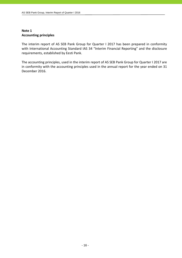# **Note 1 Accounting principles**

The interim report of AS SEB Pank Group for Quarter I 2017 has been prepared in conformity with International Accounting Standard IAS 34 "Interim Financial Reporting" and the disclosure requirements, established by Eesti Pank.

The accounting principles, used in the interim report of AS SEB Pank Group for Quarter I 2017 are in conformity with the accounting principles used in the annual report for the year ended on 31 December 2016.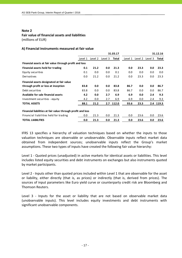# **Fair value of financial assets and liabilities**

(millions of EUR)

## **A) Financial instruments measured at fair value**

|                                                             |         |         |         | 31.03.17 |         |         |         | 31.12.16 |
|-------------------------------------------------------------|---------|---------|---------|----------|---------|---------|---------|----------|
|                                                             | Level 1 | Level 2 | Level 3 | Total    | Level 1 | Level 2 | Level 3 | Total    |
| Financial assets at fair value through profit and loss      |         |         |         |          |         |         |         |          |
| Financial assets held for trading                           | 0.1     | 21.2    | 0.0     | 21.3     | 0.0     | 23.3    | 0.0     | 23.3     |
| Equity securities                                           | 0.1     | 0.0     | 0.0     | 0.1      | 0.0     | 0.0     | 0.0     | 0.0      |
| Derivatives                                                 | 0.0     | 21.2    | 0.0     | 21.2     | 0.0     | 23.3    | 0.0     | 23.3     |
| Financial assets designated at fair value                   |         |         |         |          |         |         |         |          |
| through profit or loss at inception                         | 83.8    | 0.0     | 0.0     | 83.8     | 86.7    | 0.0     | 0.0     | 86.7     |
| Debt securities                                             | 83.8    | 0.0     | 0.0     | 83.8     | 86.7    | 0.0     | 0.0     | 86.7     |
| Available for sale financial assets                         | 4.2     | 0.0     | 2.7     | 6.9      | 6.9     | 0.0     | 2.4     | 9.3      |
| Investment securities - equity                              | 4.2     | 0.0     | 2.7     | 6.9      | 6.9     | 0.0     | 2.4     | 9.3      |
| <b>TOTAL ASSETS</b>                                         | 88.1    | 21.2    | 2.7     | 112.0    | 93.6    | 23.3    | 2.4     | 119.3    |
| Financial liabilities at fair value through profit and loss |         |         |         |          |         |         |         |          |
| Financial liabilities held for trading                      | 0.0     | 21.3    | 0.0     | 21.3     | 0.0     | 23.6    | 0.0     | 23.6     |
| <b>TOTAL LIABILITIES</b>                                    | 0.0     | 21.3    | 0.0     | 21.3     | 0.0     | 23.6    | 0.0     | 23.6     |

IFRS 13 specifies a hierarchy of valuation techniques based on whether the inputs to those valuation techniques are observable or unobservable. Observable inputs reflect market data obtained from independent sources; unobservable inputs reflect the Group's market assumptions. These two types of inputs have created the following fair value hierarchy:

Level 1 - Quoted prices (unadjusted) in active markets for identical assets or liabilities. This level includes listed equity securities and debt instruments on exchanges but also instruments quoted by market participants.

Level 2 - Inputs other than quoted prices included within Level 1 that are observable for the asset or liability, either directly (that is, as prices) or indirectly (that is, derived from prices). The sources of input parameters like Euro yield curve or counterparty credit risk are Bloomberg and Thomson Reuters.

Level 3 - Inputs for the asset or liability that are not based on observable market data (unobservable inputs). This level includes equity investments and debt instruments with significant unobservable components.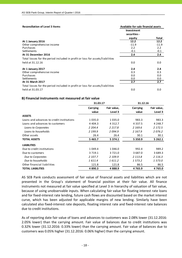| <b>Reconciliation of Level 3 Items</b>                                        | Available-for-sale financial assets |         |
|-------------------------------------------------------------------------------|-------------------------------------|---------|
|                                                                               | <b>Investment</b><br>securities -   |         |
|                                                                               | equity                              | Total   |
| At 1 January 2016                                                             | 12.2                                | 12.2    |
| Other comprehensive income                                                    | $-11.9$                             | $-11.9$ |
| Purchases                                                                     | 2.2                                 | 2.2     |
| <b>Settlements</b>                                                            | $-0.1$                              | $-0.1$  |
| At 31 December 2016                                                           | 2.4                                 | 2.4     |
| Total losses for the period included in profit or loss for assets/liabilities |                                     |         |
| held at 31.12.16                                                              | 0.0                                 | 0.0     |
| At 1 January 2017                                                             | 2.4                                 | 2.4     |
| Other comprehensive income                                                    | 0.3                                 | 0.3     |
| Purchases                                                                     | 0.0                                 | 0.0     |
| Settlements                                                                   | 0.0                                 | 0.0     |
| At 31 March 2017                                                              | 2.7                                 | 2.7     |
| Total losses for the period included in profit or loss for assets/liabilities |                                     |         |
| held at 31.03.17                                                              | 0.0                                 | 0.0     |

#### **B) Financial instruments not measured at fair value**

|                                           | 31.03.17                 |                        | 31.12.16          |                        |
|-------------------------------------------|--------------------------|------------------------|-------------------|------------------------|
|                                           | <b>Carrying</b><br>value | Fair value,<br>Level 3 | Carrying<br>value | Fair value,<br>Level 3 |
| <b>ASSETS</b>                             |                          |                        |                   |                        |
| Loans and advances to credit institutions | 1 0 3 5 .0               | 1 0 3 5 .0             | 983.3             | 983.3                  |
| Loans and advances to customers           | 4 4 0 4 .3               | 4 3 1 2 . 7            | 4 3 3 7 .5        | 4 2 4 8 .7             |
| Loans to Corporates                       | 2 204.4                  | 2 2 1 7.8              | 2 169.6           | 2 1 7 2 .5             |
| Loans to households                       | 2 199.9                  | 2094.9                 | 2 167.9           | 2076.2                 |
| Other assets                              | 26.4                     | 26.4                   | 30.1              | 30.1                   |
| <b>TOTAL ASSETS</b>                       | 5 4 6 5 .7               | 5 3 7 4 . 1            | 5 3 5 0.9         | 5 2 6 2 . 1            |
| <b>LIABILITIES</b>                        |                          |                        |                   |                        |
| Due to credit institutions                | 1 049.4                  | 1 046.0                | 992.4             | 989.2                  |
| Due to customers                          | 3 7 1 9 . 1              | 3721.0                 | 3 687.0           | 3 689.3                |
| Due to Corporates                         | 2 107.7                  | 2 109.9                | 2 1 1 3 . 8       | 2 1 1 6 . 3            |
| Due to households                         | 1611.4                   | 1611.2                 | 1573.2            | 1573.0                 |
| Other financial liabilities               | 121.8                    | 121.8                  | 86.5              | 86.5                   |
| TOTAL LIABILITIES                         | 4890.3                   | 4888.9                 | 4765.9            | 4765.0                 |

AS SEB Pank conducts assessment of fair value of financial assets and liabilities which are not presented in the Group's statement of financial position at their fair value. All finance instruments not measured at fair value specified at Level 3 in hierarchy of valuation of fair value, because of using unobservable inputs. When calculating fair value for floating interest rate loans and for fixed‐interest rate lending, future cash flows are discounted based on the market interest curve, which has been adjusted for applicable margins of new lending. Similarly have been calculated also fixed‐interest rate deposits, floating interest rate and fixed‐interest rate balances due to credit institutions.

As of reporting date fair value of loans and advances to customers was 2.08% lower (31.12.2016: 2.05% lower) than the carrying amount. Fair value of balances due to credit institutions was 0.32% lower (31.12.2016: 0.33% lower) than the carrying amount. Fair value of balances due to customers was 0.05% higher (31.12.2016: 0.06% higher) than the carrying amount.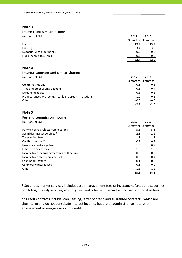#### **Interest and similar income**

| (millions of EUR)         | 2017 | 2016              |
|---------------------------|------|-------------------|
|                           |      | 3 months 3 months |
| Loans                     | 19.2 | 19.2              |
| Leasing                   | 3.4  | 3.3               |
| Deposits with other banks | 0.5  | 0.0               |
| Fixed income securities   | 0.3  | 0.0               |
|                           | 23.4 | 22.5              |

# **Note 4**

# **Interest expenses and similar charges**

| (millions of EUR)                                       | 2017   | 2016              |
|---------------------------------------------------------|--------|-------------------|
|                                                         |        | 3 months 3 months |
| Credit institutions                                     | 0.1    | $-0.3$            |
| Time and other saving deposits                          | $-0.3$ | $-0.4$            |
| Demand deposits                                         | $-0.5$ | $-0.8$            |
| From balances with central bank and credit institutions | $-1.0$ | $-0.5$            |
| Other                                                   | $-0.6$ | $-0.6$            |
|                                                         | $-2.3$ | $-2.6$            |

# **Note 5**

# **Fee and commission income**

| (millions of EUR)                             | 2017 | 2016              |
|-----------------------------------------------|------|-------------------|
|                                               |      | 3 months 3 months |
| Payment cards related commissions             | 5.3  | 5.1               |
| Securities market services *                  | 2.8  | 2.6               |
| <b>Transaction fees</b>                       | 1.2  | 1.2               |
| Credit contracts**                            | 0.9  | 0.9               |
| Insurance brokerage fees                      | 1.0  | 0.8               |
| Other settlement fees                         | 1.6  | 1.5               |
| Income from leasing agreements (full service) | 0.2  | 0.2               |
| Income from electronic channels               | 0.6  | 0.4               |
| Cash handling fees                            | 0.1  | 0.2               |
| Commodity futures fees                        | 0.1  | 0.0               |
| Other                                         | 1.5  | 1.2               |
|                                               | 15.3 | 14.1              |

\* Securities market services includes asset management fees of investment funds and securities portfolios, custody services, advisory fees and other with securities transactions related fees.

\*\* Credit contracts include loan, leasing, letter of credit and guarantee contracts, which are short-term and do not constitute interest income, but are of administrative nature for arrangement or reorganisation of credits.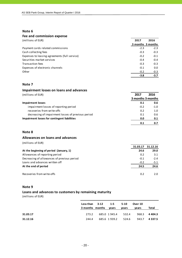# **Fee and commission expense**

| (millions of EUR)                             | 2017   | 2016              |
|-----------------------------------------------|--------|-------------------|
|                                               |        | 3 months 3 months |
| Payment cards related commissions             | $-2.3$ | $-2.3$            |
| Cash collecting fees                          | $-0.3$ | $-0.3$            |
| Expenses to leasing agreements (full service) | $-0.2$ | $-0.1$            |
| Securities market services                    | $-0.4$ | $-0.4$            |
| Transaction fees                              | $-0.3$ | $-0.3$            |
| Expenses of electronic channels               | $-0.1$ | 0.0               |
| Other                                         | $-0.2$ | $-0.3$            |
|                                               | $-3.8$ | $-3.7$            |

#### **Note 7**

| Impairment losses on loans and advances            |                   |        |
|----------------------------------------------------|-------------------|--------|
| (millions of EUR)                                  | 2017              | 2016   |
|                                                    | 3 months 3 months |        |
| <b>Impairment losses</b>                           | 0.1               | 0.6    |
| impairment losses of reporting period              | $-0.2$            | $-1.0$ |
| recoveries from write-offs                         | 0.2               | 1.0    |
| decreasing of impairment losses of previous period | 0.1               | 0.6    |
| Impairment losses for contingent liabilities       | 0.0               | 0.1    |
|                                                    | 0.1               | 0.7    |

### **Note 8**

## **Allowances on loans and advances**

(millions of EUR)

|                                             | 31.03.17 | 31.12.16 |
|---------------------------------------------|----------|----------|
| At the beginning of period (January, 1)     | 24.6     | 29.0     |
| Allowances of reporting period              | 0.2      | 3.1      |
| Decreasing of allowances of previous period | $-0.1$   | $-2.4$   |
| Loans and advances written off              | $-0.2$   | $-5.1$   |
| At the end of period                        | 24.5     | 24.6     |
| Recoveries from write-offs                  | 0.2      | 2.0.     |

#### **Note 9**

# **Loans and advances to customers by remaining maturity**

(millions of EUR)

|          | Less than $3-12$ 1-5<br>3 months months | vears | 5-10<br>vears      | Over 10<br>vears | Total        |
|----------|-----------------------------------------|-------|--------------------|------------------|--------------|
| 31.03.17 | 273.2                                   |       | 685.0 1945.4 532.4 |                  | 968.3 4404.3 |
| 31.12.16 | 244.4                                   |       | 685.6 1939.2 524.6 |                  | 943.7 4337.5 |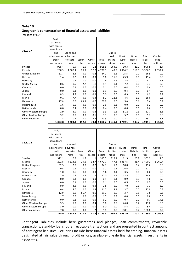#### **Geographic concentration of financial assets and liabilities**

(millions of EUR)

|                      | Cash,<br>balances           |                |         |                    |            |           |                 |                    |             |             |
|----------------------|-----------------------------|----------------|---------|--------------------|------------|-----------|-----------------|--------------------|-------------|-------------|
|                      | with central<br>bank, loans |                |         |                    |            |           |                 |                    |             |             |
| 31.03.17             | and                         | Loans and      |         |                    |            | Due to    |                 |                    |             |             |
|                      | advances to                 | advances       |         |                    |            | credit    | Due to          | Other              | Total       | Contin-     |
|                      | credit                      | to custo-      | Securi- | Other              | Total      | institu-  | custo-          | liabili-           | liabili-    | gent        |
|                      | institutions                | mers           | ti es   | assets             | assets     | tions     | mers            | ties               | ti es       | liabilities |
| Sweden               | 965.4                       | 0.9            | 1.0     | 1.2                | 968.5      | 964.5     | 10.3            | 21.7               | 996.5       | 1.4         |
| Estonia              | 288.9                       | 4 3 8 0.4      | 25.3    | 32.7               | 4727.3     | 43.8      | 3 3 9 4 . 2     | 118.3              | 3 5 5 6 . 3 | 1032.7      |
| United Kingdom       | 31.7                        | 2.3            | 0.0     | 0.2                | 34.2       | 1.2       | 25.5            | 0.2                | 26.9        | 0.0         |
| Russia               | 1.4                         | 0.2            | 0.0     | 0.0                | 1.6        | 15.5      | 25.9            | 0.0                | 41.4        | 0.0         |
| Germany              | 2.1                         | 0.5            | 0.0     | 0.0                | 2.6        | 1.6       | 2.5             | 0.0                | 4.1         | 5.3         |
| United States        | 0.6                         | 0.5            | 2.7     | 1.1                | 4.9        | 0.1       | 7.2             | 0.0                | 7.3         | 0.0         |
| Canada               | 0.0                         | 0.1            | 0.0     | 0.0                | 0.1        | 0.0       | 0.4             | 0.0                | 0.4         | 0.0         |
| Japan                | 0.0                         | 0.1            | 0.0     | 0.0                | 0.1        | 0.0       | 0.4             | 0.0                | 0.4         | 0.0         |
| Finland              | 0.3                         | 4.7            | 0.0     | 0.0                | 5.0        | 0.0       | 6.9             | 0.0                | 6.9         | 3.4         |
| Latvia               | 0.1                         | 7.7            | 0.0     | 0.3                | 8.1        | 22.3      | 4.6             | 1.1                | 28.0        | 0.5         |
| Lithuania            | 17.8                        | 0.0            | 83.8    | 0.7                | 102.3      | 0.0       | 5.0             | 0.6                | 5.6         | 0.3         |
| Luxembourg           | 1.6                         | 0.0            | 0.0     | 0.0                | 1.6        | 0.2       | 0.0             | 0.0                | 0.2         | 0.0         |
| Netherlands          | 0.0                         | 0.4            | 0.0     | 0.0                | 0.4        | 0.0       | 0.6             | 0.0                | 0.6         | 0.0         |
| Other Western Europe | 2.9                         | 6.0            | 0.0     | 0.4                | 9.3        | 0.2       | 51.2            | 0.3                | 51.7        | 6.5         |
| Other Eastern Europe | 3.2                         | 0.0            | 0.0     | 0.1                | 3.3        | 0.0       | 5.7             | 0.0                | 5.7         | 0.0         |
| Other countries      | 7.8                         | 0.5            | 0.0     | 2.6                | 10.9       | 0.0       | 178.7           | 1.0                | 179.7       | 3.1         |
|                      |                             |                |         |                    |            |           |                 |                    |             |             |
|                      | 1 3 2 3 .8                  | 4 4 0 4 .3     | 112.8   | 39.3               | 5 8 8 0.2  | 1 0 4 9.4 | 3 7 1 9 . 1     | 143.2              | 4911.7      | 1053.2      |
|                      |                             |                |         |                    |            |           |                 |                    |             |             |
|                      | Cash,                       |                |         |                    |            |           |                 |                    |             |             |
|                      | balances                    |                |         |                    |            |           |                 |                    |             |             |
|                      | with central                |                |         |                    |            |           |                 |                    |             |             |
|                      | bank, loans                 |                |         |                    |            |           |                 |                    |             |             |
| 31.12.16             | and                         | Loans and      |         |                    |            | Due to    |                 |                    |             |             |
|                      | advances to                 | advances       |         |                    |            | credit    | Due to          | Other              | Total       | Contin-     |
|                      | credit                      | to custo-      | Securi- | Other              | Total      | institu-  | custo-          | liabili-           | liabili-    | gent        |
|                      | institutions                | mers           | ti es   | assets             | assets     | tions     | mers            | ties               | ti es       | liabilities |
| Sweden               | 912.1                       | 0.8            | 1.5     | 1.1                | 915.5      | 918.1     | 11.9            | 23.2               | 953.2       | 1.5         |
| Estonia              | 292.8                       | 4 3 1 4 .6     | 29.6    | 34.7               | 4671.7     | 47.3      | 3 3 5 7 . 5     | 85.4               | 3 4 9 0.2   | 1 0 6 0.7   |
| United Kingdom       | 32.5                        | 2.0            | 0.0     | 0.2                | 34.7       | 1.2       | 18.0            | 0.4                | 19.6        | 0.0         |
| Russia               | 0.5                         | 0.1            | 0.0     | 0.1                | 0.7        | 0.5       | 26.6            | 0.0                | 27.1        | 0.0         |
| Germany              | 1.0                         | 0.6            | 0.0     | 0.0                | 1.6        | 3.1       | 3.5             | 0.0                | 6.6         | 5.0         |
| United States        | 7.9                         | $0.5\,$        | $2.4\,$ | $1.2\,$            | 12.0       | $1.4\,$   | 13.5            | $0.0\,$            | 14.9        | 0.0         |
| Canada               | $0.0\,$                     | $0.1\,$        | 0.0     | $0.0\,$            | $0.1\,$    | 0.1       | 0.9             | $0.0\,$            | $1.0\,$     | $0.0\,$     |
| Japan                | $0.0\,$                     | 0.1            | 0.0     | $0.0\,$            | $0.1\,$    | $0.0\,$   | $0.5\,$         | $0.0\,$            | 0.5         | $0.0\,$     |
| Finland              | $0.0\,$                     | 3.8            | 0.0     | $0.0\,$            | 3.8        | $0.0\,$   | 7.0             | 0.1                | 7.1         | 3.6         |
| Latvia               | 0.4                         | 8.0            | 0.0     | $2.8\,$            | 11.2       | 19.1      | $3.7$           | 0.0                | 22.8        | $0.5\,$     |
| Lithuania            | 12.9                        | 0.0            | 86.7    | 0.1                | 99.7       | $0.0\,$   | 3.7             | 0.1                | 3.8         | 0.3         |
| Luxembourg           | $1.7\,$                     | 0.0            | $0.0\,$ | 0.0                | 1.7        | $0.8\,$   | 0.0             | 0.0                | 0.8         | $0.0\,$     |
| Netherlands          | $0.0\,$<br>3.3              | $0.2\,$<br>5.9 | 0.0     | $0.0\,$<br>$0.4\,$ | 0.2<br>9.6 | $0.0\,$   | $0.7\,$<br>46.0 | $0.0\,$<br>$0.2\,$ | 0.7<br>47.0 | 14.3<br>6.5 |

Contingent liabilities include here guarantees and pledges, loan commitments, revocable transactions, stand‐by loans, other revocable transactions and are presented in contract amount of contingent liabilities. Securities include here financial assets held for trading, financial assets designated at fair value through profit or loss, available‐for‐sale financial assets, investments in associates.

Other Eastern Europe 3.0 0.0 0.0 0.0 3.0 0.0 5.4 0.0 5.4 0.0<br>Other countries 3.9 0.8 0.0 1.2 9.8 0.0 1.88.1 0.7 1.88.8 3.9 Other countries 7.8 0.8 0.0 1.2 9.8 0.0 188.1 0.7 188.8 3.9

**1 275.9 4 337.5 120.2 41.8 5 775.4 992.4 3 687.0 110.1 4 789.5 1 096.3**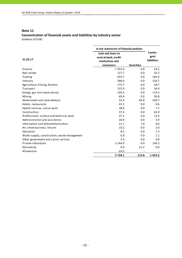# **Note 11 Concentration of financial assets and liabilities by industry sector**

(millions of EUR)

|                                              | In the statement of financial position                                     |                   |                                       |
|----------------------------------------------|----------------------------------------------------------------------------|-------------------|---------------------------------------|
| 31.03.17                                     | Cash and loans to<br>central bank, credit<br>institutions and<br>customers | <b>Securities</b> | Contin-<br>gent<br><b>liabilities</b> |
| Finance                                      | 1 3 5 5 . 4                                                                | 6.8               | 24.2                                  |
| Real estate                                  | 727.7                                                                      | 0.0               | 32.2                                  |
| Trading                                      | 433.7                                                                      | 0.0               | 183.4                                 |
| Industry                                     | 286.6                                                                      | 0.0               | 136.7                                 |
| Agriculture, fishing, forestry               | 175.7                                                                      | 0.0               | 18.7                                  |
| Transport                                    | 132.9                                                                      | 0.0               | 36.9                                  |
| Energy, gas and steam plants                 | 126.3                                                                      | 0.0               | 114.5                                 |
| Mining                                       | 69.4                                                                       | 0.0               | 50.8                                  |
| Government and state defence                 | 55.4                                                                       | 83.8              | 240.7                                 |
| Hotels, restaurants                          | 43.1                                                                       | 0.0               | 0.6                                   |
| Health services, social work                 | 38.0                                                                       | 0.0               | 7.2                                   |
| Construction                                 | 37.4                                                                       | 0.0               | 63.9                                  |
| Professional, science and technical work     | 37.2                                                                       | 0.0               | 12.4                                  |
| Administration and assistance                | 36.9                                                                       | 0.0               | 5.9                                   |
| Information and telecommunication            | 21.1                                                                       | 1.0               | 6.6                                   |
| Art, show business, leisure                  | 10.2                                                                       | 0.0               | 2.0                                   |
| Education                                    | 8.5                                                                        | 0.0               | 7.3                                   |
| Water supply, canalisation, waste management | 6.8                                                                        | 0.0               | 2.1                                   |
| Other government and social services         | 5.4                                                                        | 0.0               | 0.8                                   |
| Private individuals                          | 2 144.9                                                                    | 0.0               | 106.3                                 |
| Derivatives                                  | 0.0                                                                        | 21.2              | 0.0                                   |
| Allowances                                   | $-24.5$                                                                    |                   |                                       |
|                                              | 5728.1                                                                     | 112.8             | 1053.2                                |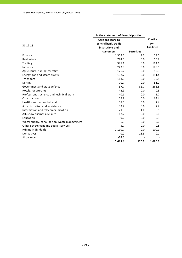|                                              | In the statement of financial position |                   |                    |
|----------------------------------------------|----------------------------------------|-------------------|--------------------|
|                                              | Cash and loans to                      |                   | Contin-            |
| 31.12.16                                     | central bank, credit                   |                   | gent               |
|                                              | institutions and                       |                   | <b>liabilities</b> |
|                                              | customers                              | <b>Securities</b> |                    |
| Finance                                      | 1 3 0 2 . 3                            | 9.2               | 39.0               |
| Real estate                                  | 784.5                                  | 0.0               | 55.9               |
| Trading                                      | 397.1                                  | 0.0               | 194.6              |
| Industry                                     | 243.8                                  | 0.0               | 128.5              |
| Agriculture, fishing, forestry               | 176.2                                  | 0.0               | 12.3               |
| Energy, gas and steam plants                 | 132.7                                  | 0.0               | 111.4              |
| Transport                                    | 113.0                                  | 0.0               | 32.5               |
| Mining                                       | 70.7                                   | 0.0               | 51.0               |
| Government and state defence                 | 57.7                                   | 86.7              | 268.8              |
| Hotels, restaurants                          | 42.9                                   | 0.0               | 0.3                |
| Professional, science and technical work     | 40.1                                   | 0.0               | 5.7                |
| Construction                                 | 39.7                                   | 0.0               | 64.4               |
| Health services, social work                 | 38.0                                   | 0.0               | 7.4                |
| Administration and assistance                | 33.7                                   | 0.0               | 7.2                |
| Information and telecommunication            | 21.5                                   | 1.0               | 6.5                |
| Art, show business, leisure                  | 12.2                                   | 0.0               | 2.0                |
| Education                                    | 9.2                                    | 0.0               | 5.9                |
| Water supply, canalisation, waste management | 6.3                                    | 0.0               | 2.0                |
| Other government and social services         | 5.7                                    | 0.0               | 0.8                |
| Private individuals                          | 2 1 1 0 . 7                            | 0.0               | 100.1              |
| Derivatives                                  | 0.0                                    | 23.3              | 0.0                |
| Allowances                                   | $-24.6$                                |                   |                    |
|                                              | 5 613.4                                | 120.2             | 1096.3             |